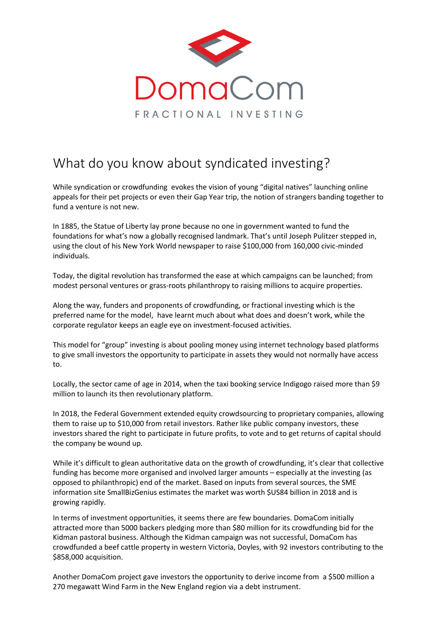

## What do you know about syndicated investing?

While syndication or crowdfunding evokes the vision of young "digital natives" launching online appeals for their pet projects or even their Gap Year trip, the notion of strangers banding together to fund a venture is not new.

In 1885, the Statue of Liberty lay prone because no one in government wanted to fund the foundations for what's now a globally recognised landmark. That's until Joseph Pulitzer stepped in, using the clout of his New York World newspaper to raise \$100,000 from 160,000 civic-minded individuals.

Today, the digital revolution has transformed the ease at which campaigns can be launched; from modest personal ventures or grass-roots philanthropy to raising millions to acquire properties.

Along the way, funders and proponents of crowdfunding, or fractional investing which is the preferred name for the model, have learnt much about what does and doesn't work, while the corporate regulator keeps an eagle eye on investment-focused activities.

This model for "group" investing is about pooling money using internet technology based platforms to give small investors the opportunity to participate in assets they would not normally have access to.

Locally, the sector came of age in 2014, when the taxi booking service Indigogo raised more than \$9 million to launch its then revolutionary platform.

In 2018, the Federal Government extended equity crowdsourcing to proprietary companies, allowing them to raise up to \$10,000 from retail investors. Rather like public company investors, these investors shared the right to participate in future profits, to vote and to get returns of capital should the company be wound up.

While it's difficult to glean authoritative data on the growth of crowdfunding, it's clear that collective funding has become more organised and involved larger amounts – especially at the investing (as opposed to philanthropic) end of the market. Based on inputs from several sources, the SME information site SmallBizGenius estimates the market was worth \$US84 billion in 2018 and is growing rapidly.

In terms of investment opportunities, it seems there are few boundaries. DomaCom initially attracted more than 5000 backers pledging more than \$80 million for its crowdfunding bid for the Kidman pastoral business. Although the Kidman campaign was not successful, DomaCom has crowdfunded a beef cattle property in western Victoria, Doyles, with 92 investors contributing to the \$858,000 acquisition.

Another DomaCom project gave investors the opportunity to derive income from a \$500 million a 270 megawatt Wind Farm in the New England region via a debt instrument.